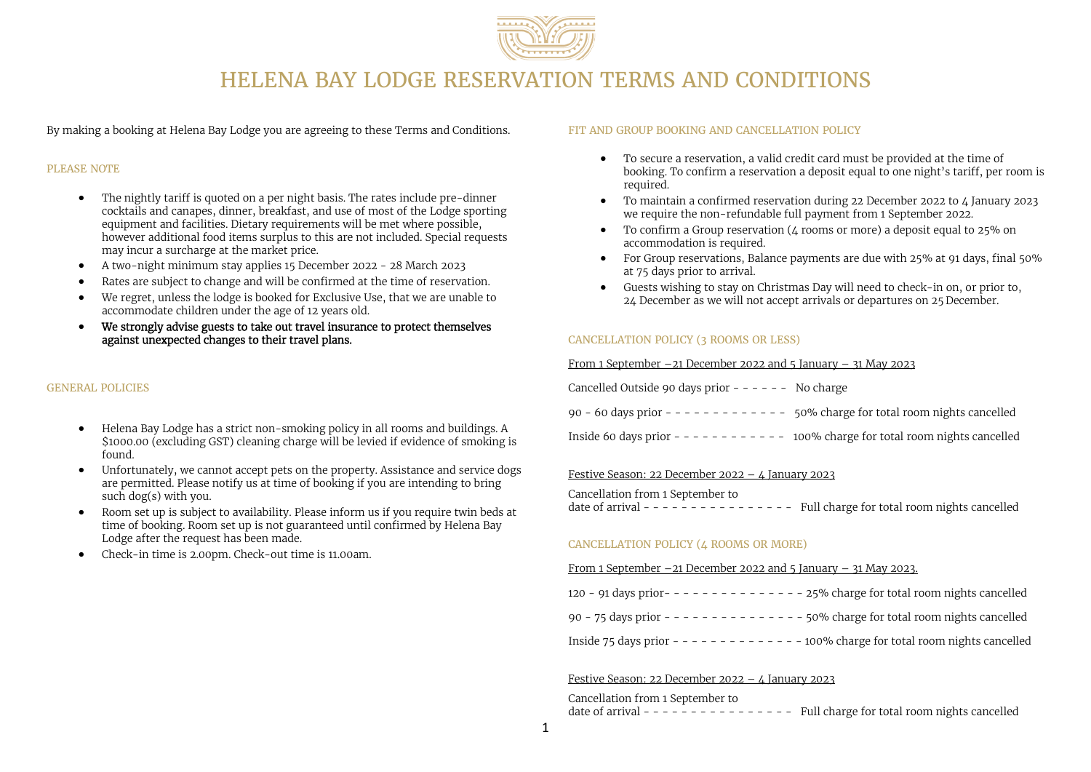

# HELENA BAY LODGE RESERVATION TERMS AND CONDITIONS

By making a booking at Helena Bay Lodge you are agreeing to these Terms and Conditions.

# PLEASE NOTE

- The nightly tariff is quoted on a per night basis. The rates include pre-dinner cocktails and canapes, dinner, breakfast, and use of most of the Lodge sporting equipment and facilities. Dietary requirements will be met where possible, however additional food items surplus to this are not included. Special requests may incur a surcharge at the market price.
- A two-night minimum stay applies 15 December 2022 28 March 2023
- Rates are subject to change and will be confirmed at the time of reservation.
- We regret, unless the lodge is booked for Exclusive Use, that we are unable to accommodate children under the age of 12 years old.
- We strongly advise guests to take out travel insurance to protect themselves against unexpected changes to their travel plans.

#### GENERAL POLICIES

- Helena Bay Lodge has a strict non-smoking policy in all rooms and buildings. A \$1000.00 (excluding GST) cleaning charge will be levied if evidence of smoking is found.
- Unfortunately, we cannot accept pets on the property. Assistance and service dogs are permitted. Please notify us at time of booking if you are intending to bring such dog(s) with you.
- Room set up is subject to availability. Please inform us if you require twin beds at time of booking. Room set up is not guaranteed until confirmed by Helena Bay Lodge after the request has been made.
- Check-in time is 2.00pm. Check-out time is 11.00am.

#### FIT AND GROUP BOOKING AND CANCELLATION POLICY

- To secure a reservation, a valid credit card must be provided at the time of booking. To confirm a reservation a deposit equal to one night's tariff, per room is required.
- To maintain a confirmed reservation during 22 December 2022 to 4 January 2023 we require the non-refundable full payment from 1 September 2022.
- To confirm a Group reservation (4 rooms or more) a deposit equal to 25% on accommodation is required.
- For Group reservations, Balance payments are due with 25% at 91 days, final 50% at 75 days prior to arrival.
- Guests wishing to stay on Christmas Day will need to check-in on, or prior to, 24 December as we will not accept arrivals or departures on 25 December.

# CANCELLATION POLICY (3 ROOMS OR LESS)

#### From 1 September  $-21$  December 2022 and 5 January  $-31$  May 2023

| Cancelled Outside 90 days prior - - - - - -<br>No charge |  |
|----------------------------------------------------------|--|
|----------------------------------------------------------|--|

| 90 - 60 days prior - - - - - - - - - - - - - 50% charge for total room nights cancelled |  |
|-----------------------------------------------------------------------------------------|--|
|                                                                                         |  |

Inside 60 days prior - - - - - - - - - - - - 100% charge for total room nights cancelled

#### Festive Season: 22 December 2022 –  $\lambda$  January 2023

Cancellation from 1 September to date of arrival - - - - - - - - - - - - - - - - Full charge for total room nights cancelled

## CANCELLATION POLICY (4 ROOMS OR MORE)

#### From 1 September  $-21$  December 2022 and 5 January  $-31$  May 2023.

| 120 - 91 days prior- - - - - - - - - - - | - 25% charge for total room nights cancelled  |
|------------------------------------------|-----------------------------------------------|
| 90 - 75 days prior - - - - - - - - - - - | - 50% charge for total room nights cancelled  |
| Inside 75 days prior - - - - - - - - - - | - 100% charge for total room nights cancelled |

## Festive Season: 22 December 2022 – 4 January 2023

#### Cancellation from 1 September to

date of arrival - - - - - - - - - - - - - - - Full charge for total room nights cancelled